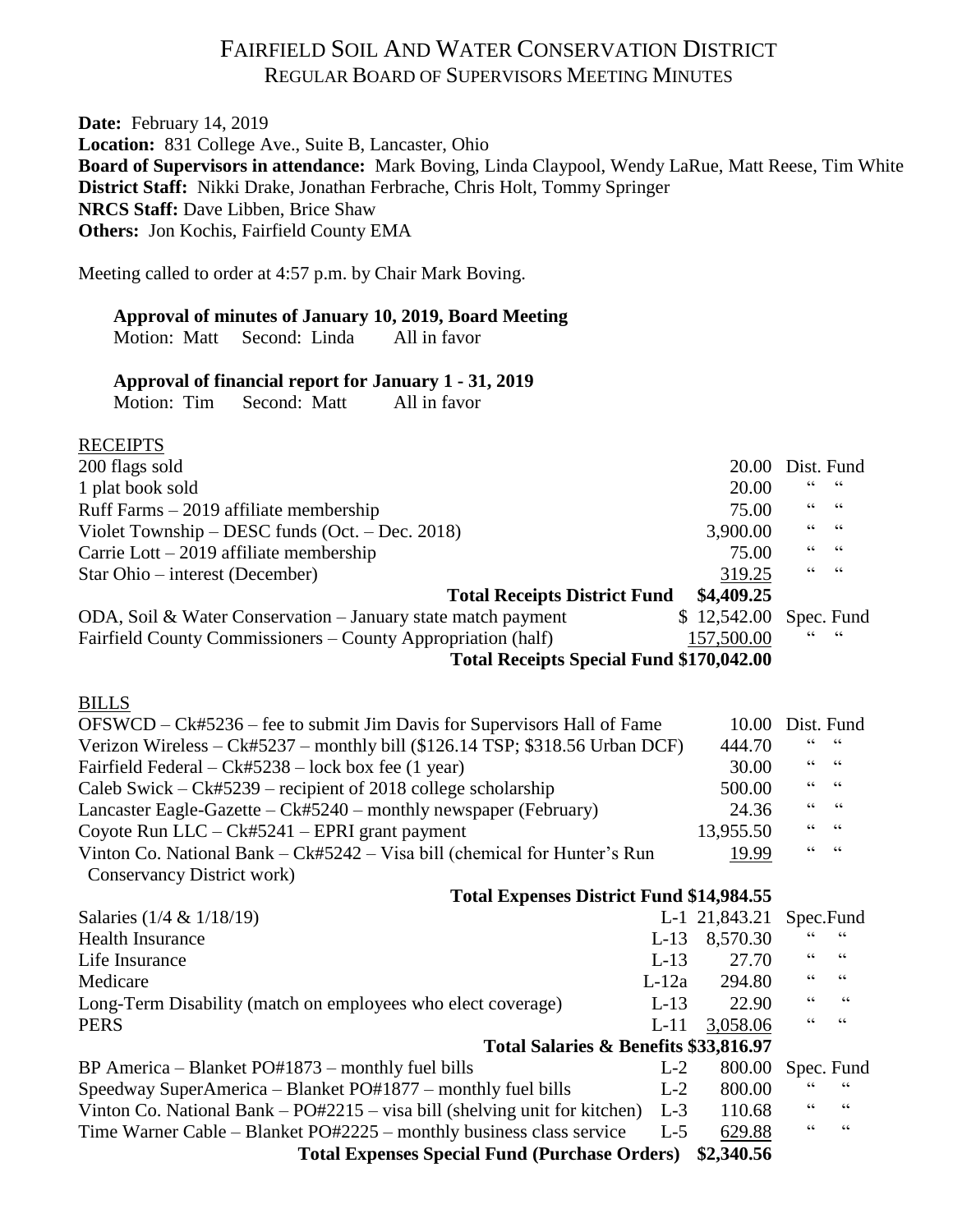## FAIRFIELD SOIL AND WATER CONSERVATION DISTRICT REGULAR BOARD OF SUPERVISORS MEETING MINUTES

**Date:** February 14, 2019 **Location:** 831 College Ave., Suite B, Lancaster, Ohio **Board of Supervisors in attendance:** Mark Boving, Linda Claypool, Wendy LaRue, Matt Reese, Tim White **District Staff:** Nikki Drake, Jonathan Ferbrache, Chris Holt, Tommy Springer **NRCS Staff:** Dave Libben, Brice Shaw **Others:** Jon Kochis, Fairfield County EMA

Meeting called to order at 4:57 p.m. by Chair Mark Boving.

### **Approval of minutes of January 10, 2019, Board Meeting**

Motion: Matt Second: Linda All in favor

### **Approval of financial report for January 1 - 31, 2019**

Motion: Tim Second: Matt All in favor

| <b>RECEIPTS</b>                                                                |         |               |                                            |                          |
|--------------------------------------------------------------------------------|---------|---------------|--------------------------------------------|--------------------------|
| 200 flags sold                                                                 |         | 20.00         | Dist. Fund                                 |                          |
| 1 plat book sold                                                               |         | 20.00         | 66                                         | 66                       |
| Ruff Farms - 2019 affiliate membership                                         |         | 75.00         | 66                                         | $\zeta \zeta$            |
| Violet Township – DESC funds (Oct. – Dec. 2018)                                |         | 3,900.00      | 66                                         | $\zeta \zeta$            |
| Carrie Lott $-2019$ affiliate membership                                       |         | 75.00         | 66                                         | $\zeta$ $\zeta$          |
| Star Ohio – interest (December)                                                |         | 319.25        | $\zeta$ $\zeta$                            | $\zeta\,\zeta$           |
| <b>Total Receipts District Fund</b>                                            |         | \$4,409.25    |                                            |                          |
| ODA, Soil & Water Conservation – January state match payment                   |         | \$12,542.00   |                                            | Spec. Fund               |
| Fairfield County Commissioners - County Appropriation (half)                   |         | 157,500.00    |                                            |                          |
| <b>Total Receipts Special Fund \$170,042.00</b>                                |         |               |                                            |                          |
|                                                                                |         |               |                                            |                          |
| <b>BILLS</b>                                                                   |         |               |                                            |                          |
| OFSWCD – Ck#5236 – fee to submit Jim Davis for Supervisors Hall of Fame        |         | 10.00         | Dist. Fund                                 |                          |
| Verizon Wireless - Ck#5237 - monthly bill (\$126.14 TSP; \$318.56 Urban DCF)   |         | 444.70        | $\!\!\!\zeta\,\zeta\!\!\!\zeta\!$          | $\zeta \, \zeta$         |
| Fairfield Federal - Ck#5238 - lock box fee (1 year)                            |         | 30.00         | $\!\!\!\zeta\,\zeta\!\!\!\zeta\!$          | $\textsf{G}\,\textsf{G}$ |
| Caleb Swick – Ck#5239 – recipient of 2018 college scholarship                  |         | 500.00        | $\textsf{G}\,\textsf{G}$                   | $\textsf{G}\,\textsf{G}$ |
| Lancaster Eagle-Gazette $-Ck#5240$ – monthly newspaper (February)              |         | 24.36         | $\zeta$ $\zeta$<br>$\zeta$ $\zeta$         | $\textsf{G}\,\textsf{G}$ |
| Coyote Run $LLC - Ck#5241 - EPRI$ grant payment<br>13,955.50                   |         |               |                                            | $\zeta\,\zeta$           |
| Vinton Co. National Bank - Ck#5242 - Visa bill (chemical for Hunter's Run      |         | 19.99         | $\zeta$ $\zeta$                            | $\zeta\,\zeta$           |
| Conservancy District work)                                                     |         |               |                                            |                          |
| <b>Total Expenses District Fund \$14,984.55</b>                                |         |               |                                            |                          |
| Salaries (1/4 & 1/18/19)                                                       |         | L-1 21,843.21 |                                            | Spec.Fund                |
| <b>Health Insurance</b>                                                        | $L-13$  | 8,570.30      | $\!\!\!\zeta\,\zeta\!\!\!\zeta\!$          | $\zeta$ $\zeta$          |
| Life Insurance                                                                 | $L-13$  | 27.70         | $\boldsymbol{\zeta} \, \boldsymbol{\zeta}$ | $\zeta$ $\zeta$          |
| Medicare                                                                       | $L-12a$ | 294.80        | $\zeta$ $\zeta$                            | $\mbox{\bf G}$           |
| Long-Term Disability (match on employees who elect coverage)                   | $L-13$  | 22.90         | $\zeta$ $\zeta$                            | $\zeta$ $\zeta$          |
| <b>PERS</b>                                                                    | $L-11$  | 3,058.06      | 66                                         | $\zeta$ $\zeta$          |
| Total Salaries & Benefits \$33,816.97                                          |         |               |                                            |                          |
| BP America – Blanket PO#1873 – monthly fuel bills                              | $L-2$   | 800.00        |                                            | Spec. Fund               |
| Speedway SuperAmerica – Blanket PO#1877 – monthly fuel bills                   | $L-2$   | 800.00        |                                            |                          |
| Vinton Co. National Bank $-$ PO#2215 $-$ visa bill (shelving unit for kitchen) | $L-3$   | 110.68        | 66                                         | $\textsf{G}\,\textsf{G}$ |
| Time Warner Cable – Blanket PO#2225 – monthly business class service           | $L-5$   | 629.88        | $\zeta$ $\zeta$                            | $\zeta$ $\zeta$          |
| <b>Total Expenses Special Fund (Purchase Orders)</b>                           |         | \$2,340.56    |                                            |                          |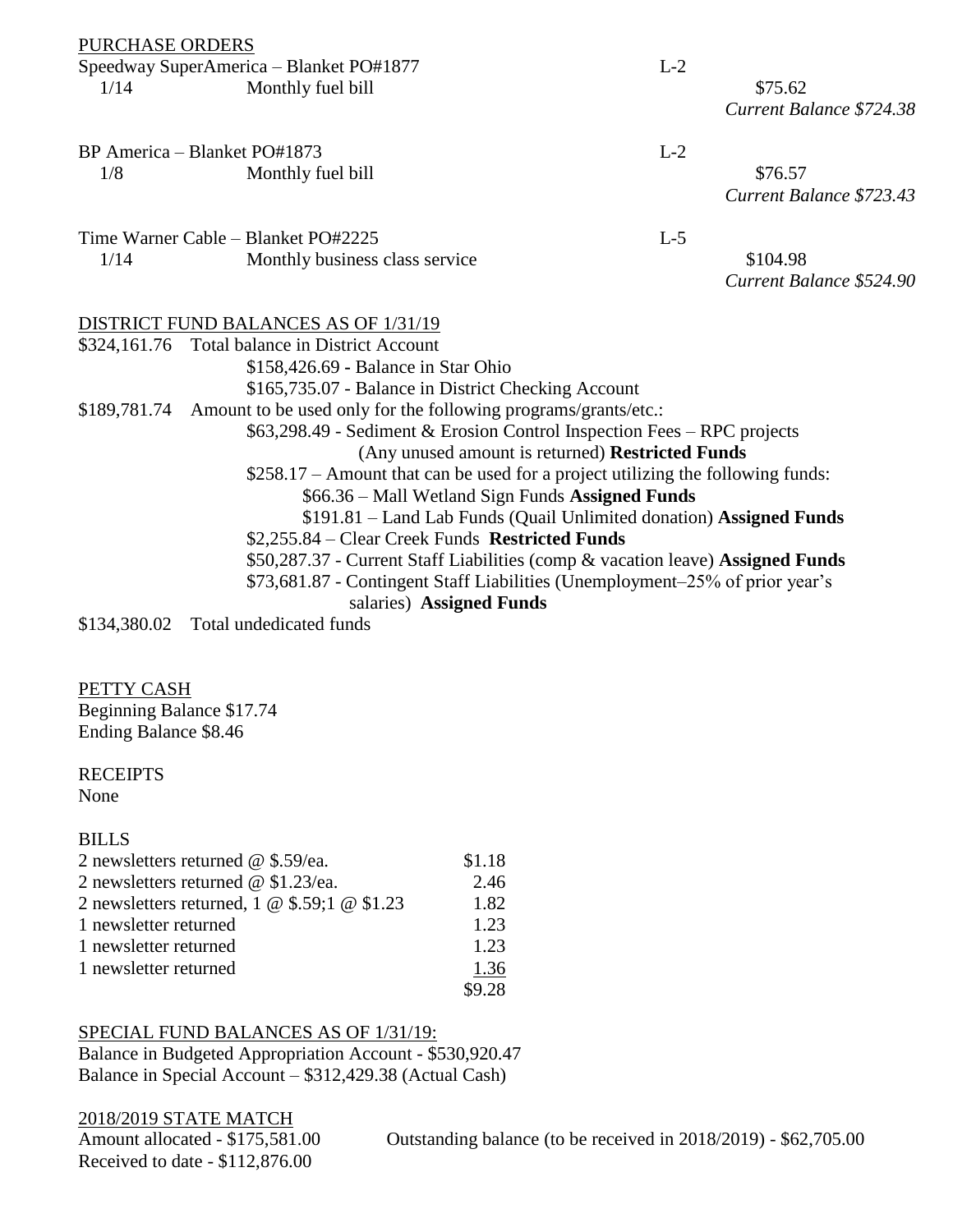PURCHASE ORDERS

|      | Speedway SuperAmerica – Blanket PO#1877 | $\mathbf{L}$ |         |
|------|-----------------------------------------|--------------|---------|
| 1/14 | Monthly fuel bill                       |              | \$75.62 |

*Current Balance \$724.38*

BP America – Blanket PO#1873 L-2 1/8 Monthly fuel bill \$76.57

*Current Balance \$723.43*

Time Warner Cable – Blanket PO#2225 L-5 1/14 Monthly business class service \$104.98

*Current Balance \$524.90*

### DISTRICT FUND BALANCES AS OF 1/31/19

\$324,161.76 Total balance in District Account \$158,426.69 **-** Balance in Star Ohio \$165,735.07 - Balance in District Checking Account \$189,781.74 Amount to be used only for the following programs/grants/etc.: \$63,298.49 - Sediment & Erosion Control Inspection Fees – RPC projects (Any unused amount is returned) **Restricted Funds** \$258.17 – Amount that can be used for a project utilizing the following funds: \$66.36 – Mall Wetland Sign Funds **Assigned Funds** \$191.81 – Land Lab Funds (Quail Unlimited donation) **Assigned Funds** \$2,255.84 – Clear Creek Funds **Restricted Funds** \$50,287.37 - Current Staff Liabilities (comp & vacation leave) **Assigned Funds** \$73,681.87 - Contingent Staff Liabilities (Unemployment–25% of prior year's salaries) **Assigned Funds**

\$134,380.02 Total undedicated funds

### PETTY CASH

Beginning Balance \$17.74 Ending Balance \$8.46

### **RECEIPTS**

None

### BILLS

| 2 newsletters returned $\omega$ \$.59/ea.    | \$1.18 |
|----------------------------------------------|--------|
| 2 newsletters returned $\omega$ \$1.23/ea.   | 2.46   |
| 2 newsletters returned, 1 @ \$.59;1 @ \$1.23 | 1.82   |
| 1 newsletter returned                        | 1.23   |
| 1 newsletter returned                        | 1.23   |
| 1 newsletter returned                        | 1.36   |
|                                              | \$9.28 |

### SPECIAL FUND BALANCES AS OF 1/31/19:

Balance in Budgeted Appropriation Account - \$530,920.47 Balance in Special Account – \$312,429.38 (Actual Cash)

2018/2019 STATE MATCH Received to date - \$112,876.00

Amount allocated - \$175,581.00 Outstanding balance (to be received in 2018/2019) - \$62,705.00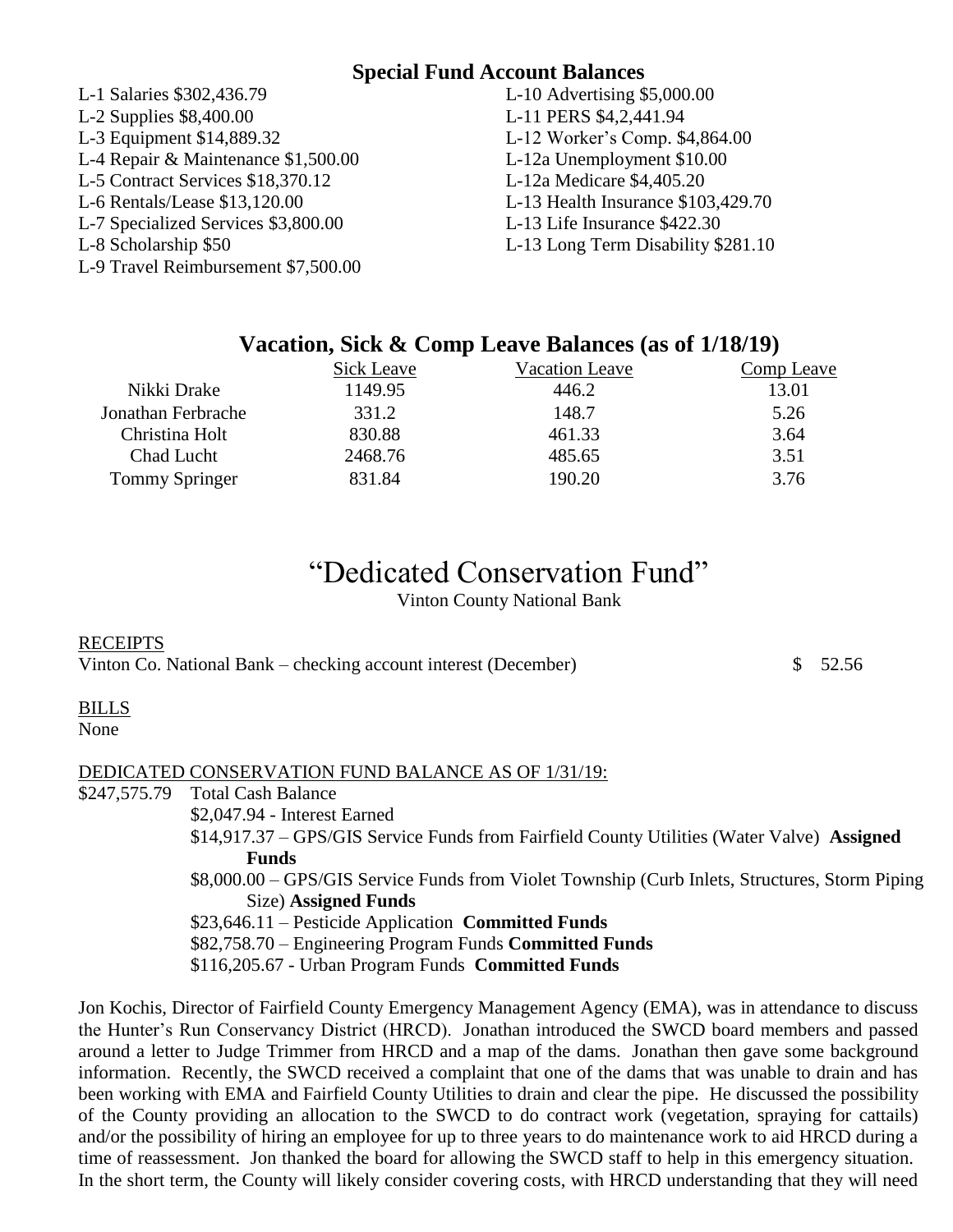### **Special Fund Account Balances**

| L-1 Salaries \$302,436.79           |
|-------------------------------------|
| L-2 Supplies \$8,400.00             |
| L-3 Equipment \$14,889.32           |
| L-4 Repair & Maintenance \$1,500.00 |
| L-5 Contract Services \$18,370.12   |
| L-6 Rentals/Lease \$13,120.00       |
| L-7 Specialized Services \$3,800.00 |
| L-8 Scholarship \$50                |
| L-9 Travel Reimbursement \$7,500.00 |

L-10 Advertising  $$5,000.00$ L-11 PERS \$4,2,441.94 L-12 Worker's Comp. \$4,864.00 L-12a Unemployment \$10.00 L-12a Medicare \$4,405.20 L-13 Health Insurance  $$103,429.70$ L-13 Life Insurance \$422.30

L-13 Long Term Disability \$281.10

### **Vacation, Sick & Comp Leave Balances (as of 1/18/19)**

|                       | <b>Sick Leave</b> | <b>Vacation Leave</b> | Comp Leave |
|-----------------------|-------------------|-----------------------|------------|
| Nikki Drake           | 1149.95           | 446.2                 | 13.01      |
| Jonathan Ferbrache    | 331.2             | 148.7                 | 5.26       |
| Christina Holt        | 830.88            | 461.33                | 3.64       |
| Chad Lucht            | 2468.76           | 485.65                | 3.51       |
| <b>Tommy Springer</b> | 831.84            | 190.20                | 3.76       |

# "Dedicated Conservation Fund"

Vinton County National Bank

### **RECEIPTS**

Vinton Co. National Bank – checking account interest (December)  $\qquad$  \$ 52.56

### BILLS

None

### DEDICATED CONSERVATION FUND BALANCE AS OF 1/31/19:

\$247,575.79 Total Cash Balance

\$2,047.94 - Interest Earned

\$14,917.37 – GPS/GIS Service Funds from Fairfield County Utilities (Water Valve) **Assigned** 

**Funds**

\$8,000.00 – GPS/GIS Service Funds from Violet Township (Curb Inlets, Structures, Storm Piping Size) **Assigned Funds**

\$23,646.11 – Pesticide Application **Committed Funds**

\$82,758.70 – Engineering Program Funds **Committed Funds**

\$116,205.67 - Urban Program Funds **Committed Funds**

Jon Kochis, Director of Fairfield County Emergency Management Agency (EMA), was in attendance to discuss the Hunter's Run Conservancy District (HRCD). Jonathan introduced the SWCD board members and passed around a letter to Judge Trimmer from HRCD and a map of the dams. Jonathan then gave some background information. Recently, the SWCD received a complaint that one of the dams that was unable to drain and has been working with EMA and Fairfield County Utilities to drain and clear the pipe. He discussed the possibility of the County providing an allocation to the SWCD to do contract work (vegetation, spraying for cattails) and/or the possibility of hiring an employee for up to three years to do maintenance work to aid HRCD during a time of reassessment. Jon thanked the board for allowing the SWCD staff to help in this emergency situation. In the short term, the County will likely consider covering costs, with HRCD understanding that they will need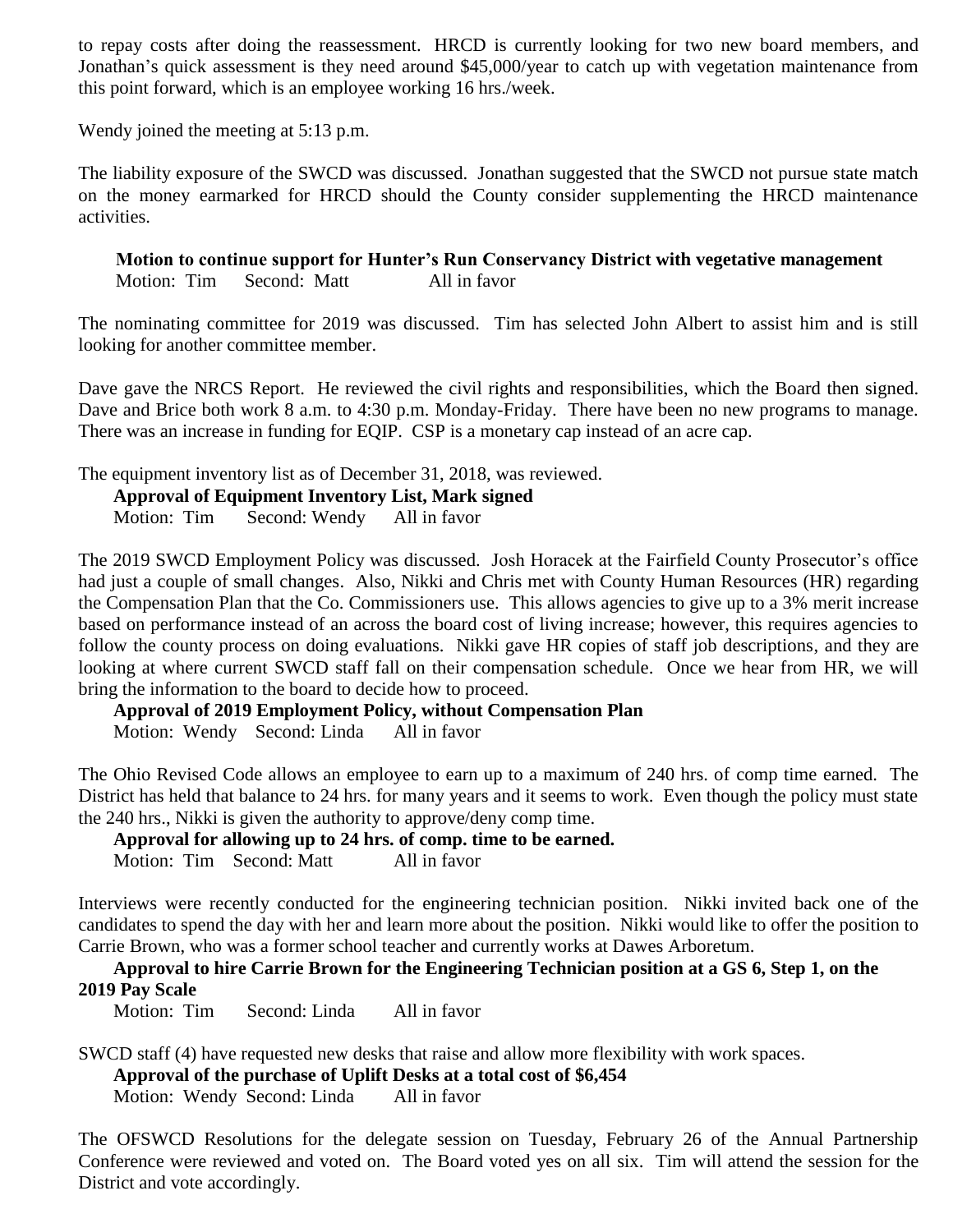to repay costs after doing the reassessment. HRCD is currently looking for two new board members, and Jonathan's quick assessment is they need around \$45,000/year to catch up with vegetation maintenance from this point forward, which is an employee working 16 hrs./week.

Wendy joined the meeting at 5:13 p.m.

The liability exposure of the SWCD was discussed. Jonathan suggested that the SWCD not pursue state match on the money earmarked for HRCD should the County consider supplementing the HRCD maintenance activities.

 **Motion to continue support for Hunter's Run Conservancy District with vegetative management** Motion: Tim Second: Matt All in favor

The nominating committee for 2019 was discussed. Tim has selected John Albert to assist him and is still looking for another committee member.

Dave gave the NRCS Report. He reviewed the civil rights and responsibilities, which the Board then signed. Dave and Brice both work 8 a.m. to 4:30 p.m. Monday-Friday. There have been no new programs to manage. There was an increase in funding for EQIP. CSP is a monetary cap instead of an acre cap.

The equipment inventory list as of December 31, 2018, was reviewed.

**Approval of Equipment Inventory List, Mark signed**

Motion: Tim Second: Wendy All in favor

The 2019 SWCD Employment Policy was discussed. Josh Horacek at the Fairfield County Prosecutor's office had just a couple of small changes. Also, Nikki and Chris met with County Human Resources (HR) regarding the Compensation Plan that the Co. Commissioners use. This allows agencies to give up to a 3% merit increase based on performance instead of an across the board cost of living increase; however, this requires agencies to follow the county process on doing evaluations. Nikki gave HR copies of staff job descriptions, and they are looking at where current SWCD staff fall on their compensation schedule. Once we hear from HR, we will bring the information to the board to decide how to proceed.

**Approval of 2019 Employment Policy, without Compensation Plan**

Motion: Wendy Second: Linda All in favor

The Ohio Revised Code allows an employee to earn up to a maximum of 240 hrs. of comp time earned. The District has held that balance to 24 hrs. for many years and it seems to work. Even though the policy must state the 240 hrs., Nikki is given the authority to approve/deny comp time.

**Approval for allowing up to 24 hrs. of comp. time to be earned.** Motion: Tim Second: Matt All in favor

Interviews were recently conducted for the engineering technician position. Nikki invited back one of the candidates to spend the day with her and learn more about the position. Nikki would like to offer the position to Carrie Brown, who was a former school teacher and currently works at Dawes Arboretum.

**Approval to hire Carrie Brown for the Engineering Technician position at a GS 6, Step 1, on the 2019 Pay Scale**

Motion: Tim Second: Linda All in favor

SWCD staff (4) have requested new desks that raise and allow more flexibility with work spaces.

**Approval of the purchase of Uplift Desks at a total cost of \$6,454**

Motion: Wendy Second: Linda All in favor

The OFSWCD Resolutions for the delegate session on Tuesday, February 26 of the Annual Partnership Conference were reviewed and voted on. The Board voted yes on all six. Tim will attend the session for the District and vote accordingly.